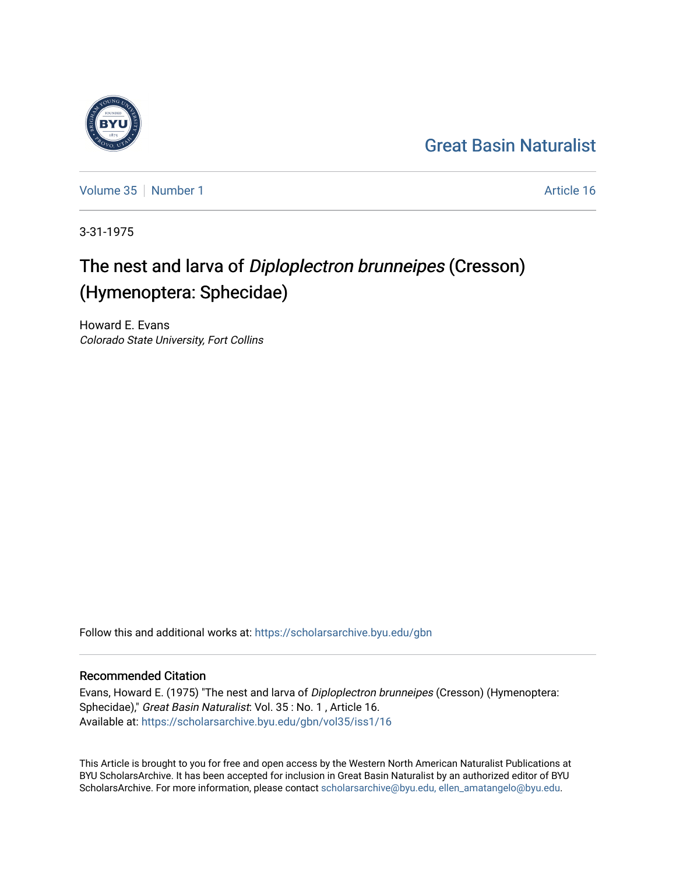## [Great Basin Naturalist](https://scholarsarchive.byu.edu/gbn)

[Volume 35](https://scholarsarchive.byu.edu/gbn/vol35) [Number 1](https://scholarsarchive.byu.edu/gbn/vol35/iss1) Article 16

3-31-1975

# The nest and larva of Diploplectron brunneipes (Cresson) (Hymenoptera: Sphecidae)

Howard E. Evans Colorado State University, Fort Collins

Follow this and additional works at: [https://scholarsarchive.byu.edu/gbn](https://scholarsarchive.byu.edu/gbn?utm_source=scholarsarchive.byu.edu%2Fgbn%2Fvol35%2Fiss1%2F16&utm_medium=PDF&utm_campaign=PDFCoverPages) 

### Recommended Citation

Evans, Howard E. (1975) "The nest and larva of Diploplectron brunneipes (Cresson) (Hymenoptera: Sphecidae)," Great Basin Naturalist: Vol. 35 : No. 1, Article 16. Available at: [https://scholarsarchive.byu.edu/gbn/vol35/iss1/16](https://scholarsarchive.byu.edu/gbn/vol35/iss1/16?utm_source=scholarsarchive.byu.edu%2Fgbn%2Fvol35%2Fiss1%2F16&utm_medium=PDF&utm_campaign=PDFCoverPages) 

This Article is brought to you for free and open access by the Western North American Naturalist Publications at BYU ScholarsArchive. It has been accepted for inclusion in Great Basin Naturalist by an authorized editor of BYU ScholarsArchive. For more information, please contact [scholarsarchive@byu.edu, ellen\\_amatangelo@byu.edu.](mailto:scholarsarchive@byu.edu,%20ellen_amatangelo@byu.edu)

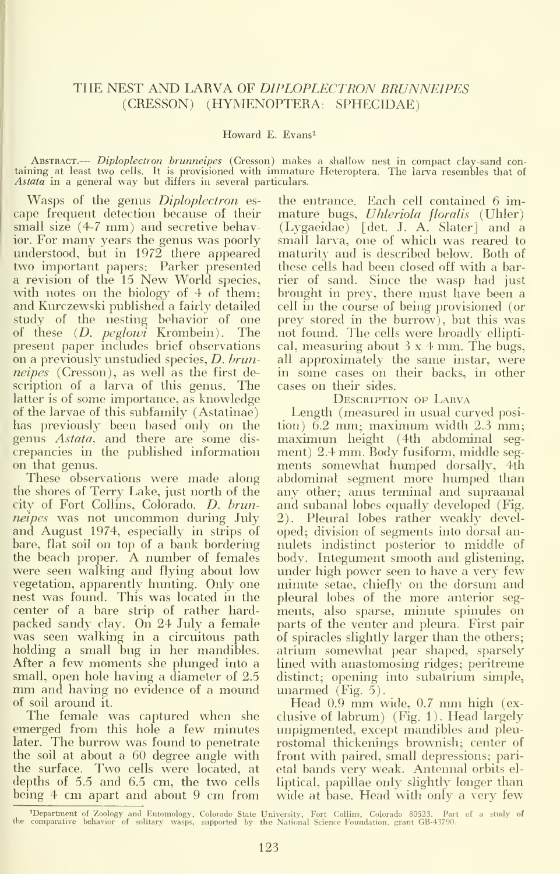### THE NEST AND LARVA OF DIPLOPLECTRON BRUNNEIPES (CRESSON) (HYMENOPTERA: SPHECIDAE)

#### Howard E. Evans^

ABSTRACT.— Diploplectron brunneipes (Cresson) makes a shallow nest in compact clay-sand containing at least two cells. It is provisioned with immature Heteroptera. The larva resembles that of Astata in <sup>a</sup> general way but differs in several particulars.

Wasps of the genus Diploplectron es- ( ape frequent detection because of their small size (4-7 mm) and secretive behavior. For many years the genus was poorly understood, but in 1972 there appeared two important papers: Parker presented <sup>a</sup> revision of the <sup>15</sup> New World species, with notes on the biology of 4 of them; and Kurczewski published a fairly detailed study of the nesting behavior of one prey<br>of these (*D. peglowi* Krombein). The not-f present paper includes brief observations on a previously unstudied species, D. brunneipes (Cresson), as well as the first description of a larva of this genus. The latter is of some importance, as knowledge of the larvae of this subfamily (Astatinae) has previously been based only on the genus Astata, and there are some dis crepancies in the published information on that genus.

These observations were made along the shores of Terry Lake, just north of the city of Fort Collins, Colorado. D. brunneipes was not uncommon during July and August 1974, especially in strips of bare, flat soil on top of a bank bordering the beach proper. A number of females were seen walking and flying about low vegetation, apparently hunting. Only one nest was found. This was located in the center of a bare strip of rather hard- mei<br>packed sandy clay. On 24 July a female - par was seen walking in a circuitous path holding a small bug in her mandibles. After a few moments she plunged into <sup>a</sup> small, open hole having <sup>a</sup> diameter of 2.5 mm and having no evidence of <sup>a</sup> mound of soil around it.

The female was captured when she emerged from this hole a few minutes later. The burrow was found to penetrate the soil at about a 60 degree angle with the surface. Two cells were located, at depths of 5.5 and 6.5 cm, the two cells being 4 cm apart and about <sup>9</sup> cm from

the entrance. Each cell contained 6 im mature bugs, Uhleriola floralis (Uhler) (Lygaeidae) [det. J. A. Slater] and a small larva, one of which was reared to maturity and is described below. Both of these cells had been closed off with a barrier of sand. Since the wasp had just brought in prey, there must have been a cell in the course of being provisioned (or prey stored in the burrow), but this was not found. The cells were broadly elliptical, measuring about  $3 \times 4$  mm. The bugs, all approximately the same instar, were in some cases on their backs, in other cases on their sides.

DESCRIPTION OF LARVA

Length (measured in usual curved posi tion) 6.2 mm; maximum width 2.3 mm; maximum height (4th abdominal seg ment) 2.4 mm. Body fusiform, middle seg ments somewhat humped dorsally, 4th abdominal segment more humped than any other; anus terminal and supraanal and subanal lobes equally developed (Fig. 2). Pleural lobes rather weakly devel oped; division of segments into dorsal annulets indistinct posterior to middle of body. Integument smooth and glistening, under high power seen to have a very few minute setae, chiefly on the dorsum and pleural lobes of the more anterior seg ments, also sparse, minute spinules on parts of the venter and pleura. First pair of spiracles slightly larger than the others; atrium somewhat pear shaped, sparsely lined with anastomosing ridges; peritreme distinct; opening into subatrium simple, unarmed  $(Fig. 5)$ .

Head 0.9 mm wide, 0.7 mm high (ex clusive of labrum) (Fig. 1). Head largely unpigmented, except mandibles and pleu rostomal thickenings brownish; center of front with paired, small depressions; parietal bands very weak. Antennal orbits el liptical, papillae only slightly longer than wide at base. Head with only a very few

<sup>^</sup>Department of Zoology and Entomology, Colorado State University, Fort Collins, Colorado 80523. Part of a study of the comparative behavior of solitary wasps, supported by the National Science Foundation, grant GB-43790.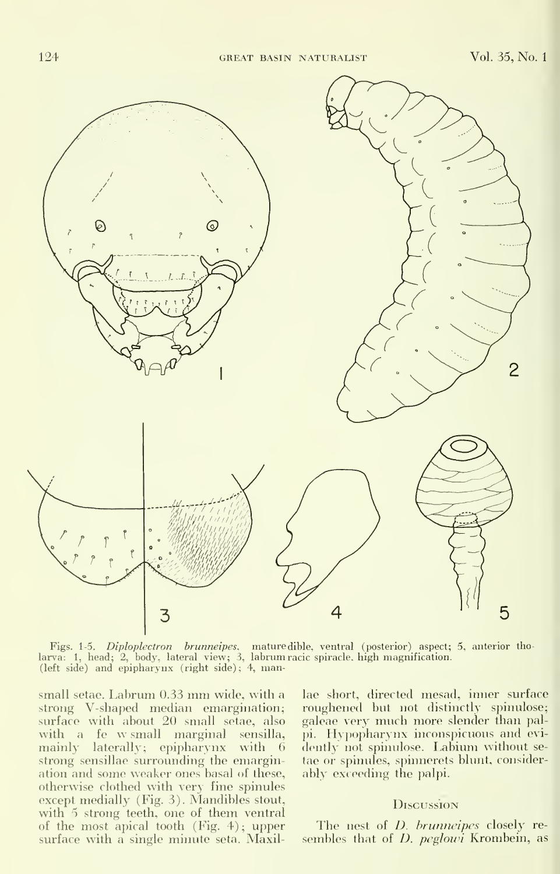

= Figs. 1-5. *Diploplectron brunneipes*, mature dible, ventral (posterior) aspect; 5, anterior thomatic specter of the spectrum of the spectrum of the distribution.<br>larva: 1, head; 2, body, lateral view; 3, labrum racic sp

small setae. Labrum 0.33 mm wide, with <sup>a</sup> strong V-shaped median emargination; surface with about 20 small setae, also -ga<br>with a fe w- small marginal sensilla, -pi. mainly laterally; epipharynx with 6 strong sensillae surrounding the emargination and some weaker ones basal of these, otherwise clothed with very fine spinules except medially (Fig. 3). Mandibles stout, with 5 strong teeth, one of them ventral of the most apical tooth (Fig. 4); upper surface with a single minute seta. Maxil-

lae short, directed mesad, inner surface roughened but not distinctly spinulose; galeae very much more slender than palpi. Hypopharynx inconspicuous and evi dently not spinulose. Labium without setae or spinules, spinnerets blunt, consider ably exceeding the palpi.

#### **Discussion**

The nest of *D. brunneipes* closely resembles that of  $D.$  peglowi Krombein, as